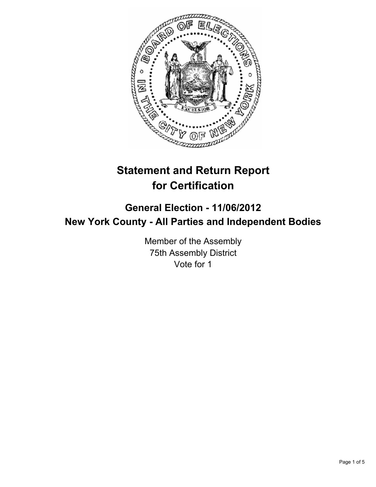

# **Statement and Return Report for Certification**

# **General Election - 11/06/2012 New York County - All Parties and Independent Bodies**

Member of the Assembly 75th Assembly District Vote for 1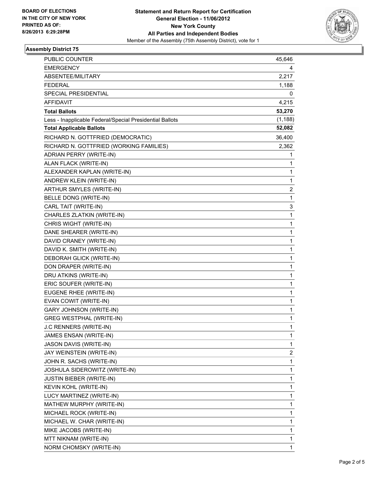

## **Assembly District 75**

| PUBLIC COUNTER                                           | 45,646                  |
|----------------------------------------------------------|-------------------------|
| <b>EMERGENCY</b>                                         | 4                       |
| ABSENTEE/MILITARY                                        | 2,217                   |
| <b>FEDERAL</b>                                           | 1,188                   |
| SPECIAL PRESIDENTIAL                                     | 0                       |
| <b>AFFIDAVIT</b>                                         | 4,215                   |
| <b>Total Ballots</b>                                     | 53,270                  |
| Less - Inapplicable Federal/Special Presidential Ballots | (1, 188)                |
| <b>Total Applicable Ballots</b>                          | 52,082                  |
| RICHARD N. GOTTFRIED (DEMOCRATIC)                        | 36,400                  |
| RICHARD N. GOTTFRIED (WORKING FAMILIES)                  | 2,362                   |
| ADRIAN PERRY (WRITE-IN)                                  | 1                       |
| ALAN FLACK (WRITE-IN)                                    | 1                       |
| ALEXANDER KAPLAN (WRITE-IN)                              | 1                       |
| ANDREW KLEIN (WRITE-IN)                                  | 1                       |
| ARTHUR SMYLES (WRITE-IN)                                 | $\overline{\mathbf{c}}$ |
| BELLE DONG (WRITE-IN)                                    | 1                       |
| CARL TAIT (WRITE-IN)                                     | 3                       |
| CHARLES ZLATKIN (WRITE-IN)                               | 1                       |
| CHRIS WIGHT (WRITE-IN)                                   | $\mathbf 1$             |
| DANE SHEARER (WRITE-IN)                                  | 1                       |
| DAVID CRANEY (WRITE-IN)                                  | 1                       |
| DAVID K. SMITH (WRITE-IN)                                | 1                       |
| DEBORAH GLICK (WRITE-IN)                                 | 1                       |
| DON DRAPER (WRITE-IN)                                    | 1                       |
| DRU ATKINS (WRITE-IN)                                    | 1                       |
| ERIC SOUFER (WRITE-IN)                                   | 1                       |
| EUGENE RHEE (WRITE-IN)                                   | 1                       |
| EVAN COWIT (WRITE-IN)                                    | 1                       |
| GARY JOHNSON (WRITE-IN)                                  | 1                       |
| <b>GREG WESTPHAL (WRITE-IN)</b>                          | 1                       |
| J.C RENNERS (WRITE-IN)                                   | 1                       |
| JAMES ENSAN (WRITE-IN)                                   | 1                       |
| JASON DAVIS (WRITE-IN)                                   | 1                       |
| JAY WEINSTEIN (WRITE-IN)                                 | 2                       |
| JOHN R. SACHS (WRITE-IN)                                 | 1                       |
| JOSHULA SIDEROWITZ (WRITE-IN)                            | $\mathbf 1$             |
| <b>JUSTIN BIEBER (WRITE-IN)</b>                          | 1                       |
| KEVIN KOHL (WRITE-IN)                                    | 1                       |
| LUCY MARTINEZ (WRITE-IN)                                 | 1                       |
| MATHEW MURPHY (WRITE-IN)                                 | 1                       |
| MICHAEL ROCK (WRITE-IN)                                  | 1                       |
| MICHAEL W. CHAR (WRITE-IN)                               | $\mathbf 1$             |
| MIKE JACOBS (WRITE-IN)                                   | 1                       |
| MTT NIKNAM (WRITE-IN)                                    | 1                       |
| NORM CHOMSKY (WRITE-IN)                                  | $\mathbf{1}$            |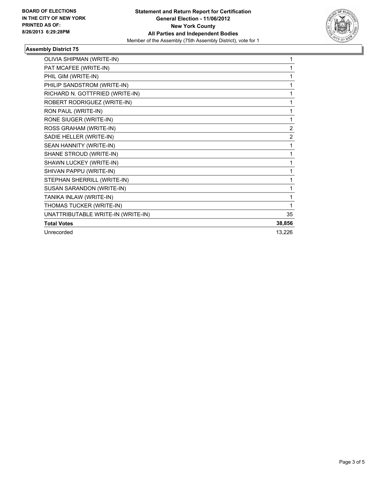

## **Assembly District 75**

| OLIVIA SHIPMAN (WRITE-IN)          | 1              |
|------------------------------------|----------------|
| PAT MCAFEE (WRITE-IN)              |                |
| PHIL GIM (WRITE-IN)                |                |
| PHILIP SANDSTROM (WRITE-IN)        | 1              |
| RICHARD N. GOTTFRIED (WRITE-IN)    | 1              |
| ROBERT RODRIGUEZ (WRITE-IN)        | 1              |
| RON PAUL (WRITE-IN)                | 1              |
| RONE SIUGER (WRITE-IN)             | 1              |
| ROSS GRAHAM (WRITE-IN)             | $\overline{2}$ |
| SADIE HELLER (WRITE-IN)            | $\overline{2}$ |
| SEAN HANNITY (WRITE-IN)            | 1              |
| SHANE STROUD (WRITE-IN)            | 1              |
| SHAWN LUCKEY (WRITE-IN)            | 1              |
| SHIVAN PAPPU (WRITE-IN)            | 1              |
| STEPHAN SHERRILL (WRITE-IN)        | 1              |
| SUSAN SARANDON (WRITE-IN)          | 1              |
| TANIKA INLAW (WRITE-IN)            | 1              |
| THOMAS TUCKER (WRITE-IN)           | 1              |
| UNATTRIBUTABLE WRITE-IN (WRITE-IN) | 35             |
| <b>Total Votes</b>                 | 38,856         |
| Unrecorded                         | 13,226         |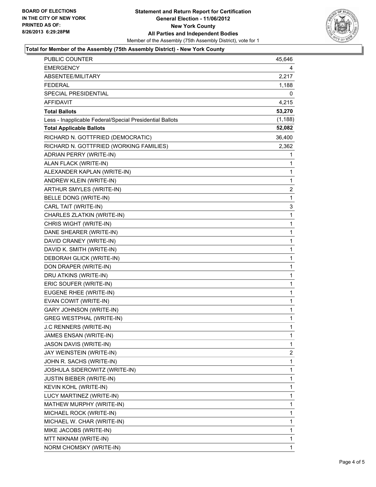#### **Statement and Return Report for Certification General Election - 11/06/2012 New York County All Parties and Independent Bodies** Member of the Assembly (75th Assembly District), vote for 1



#### **Total for Member of the Assembly (75th Assembly District) - New York County**

| <b>PUBLIC COUNTER</b>                                    | 45,646                  |
|----------------------------------------------------------|-------------------------|
| <b>EMERGENCY</b>                                         | 4                       |
| ABSENTEE/MILITARY                                        | 2,217                   |
| FEDERAL                                                  | 1,188                   |
| SPECIAL PRESIDENTIAL                                     | 0                       |
| AFFIDAVIT                                                | 4,215                   |
| <b>Total Ballots</b>                                     | 53,270                  |
| Less - Inapplicable Federal/Special Presidential Ballots | (1, 188)                |
| <b>Total Applicable Ballots</b>                          | 52,082                  |
| RICHARD N. GOTTFRIED (DEMOCRATIC)                        | 36,400                  |
| RICHARD N. GOTTFRIED (WORKING FAMILIES)                  | 2,362                   |
| ADRIAN PERRY (WRITE-IN)                                  | 1                       |
| ALAN FLACK (WRITE-IN)                                    | 1                       |
| ALEXANDER KAPLAN (WRITE-IN)                              | 1                       |
| ANDREW KLEIN (WRITE-IN)                                  | $\mathbf 1$             |
| ARTHUR SMYLES (WRITE-IN)                                 | $\overline{\mathbf{c}}$ |
| BELLE DONG (WRITE-IN)                                    | 1                       |
| CARL TAIT (WRITE-IN)                                     | 3                       |
| CHARLES ZLATKIN (WRITE-IN)                               | 1                       |
| CHRIS WIGHT (WRITE-IN)                                   | 1                       |
| DANE SHEARER (WRITE-IN)                                  | 1                       |
| DAVID CRANEY (WRITE-IN)                                  | 1                       |
| DAVID K. SMITH (WRITE-IN)                                | 1                       |
| DEBORAH GLICK (WRITE-IN)                                 | 1                       |
| DON DRAPER (WRITE-IN)                                    | 1                       |
| DRU ATKINS (WRITE-IN)                                    | 1                       |
| ERIC SOUFER (WRITE-IN)                                   | 1                       |
| EUGENE RHEE (WRITE-IN)                                   | 1                       |
| EVAN COWIT (WRITE-IN)                                    | 1                       |
| <b>GARY JOHNSON (WRITE-IN)</b>                           | $\mathbf 1$             |
| <b>GREG WESTPHAL (WRITE-IN)</b>                          | 1                       |
| J.C RENNERS (WRITE-IN)                                   | 1                       |
| JAMES ENSAN (WRITE-IN)                                   | $\mathbf 1$             |
| JASON DAVIS (WRITE-IN)                                   | 1                       |
| JAY WEINSTEIN (WRITE-IN)                                 | 2                       |
| JOHN R. SACHS (WRITE-IN)                                 | 1                       |
| JOSHULA SIDEROWITZ (WRITE-IN)                            | 1                       |
| <b>JUSTIN BIEBER (WRITE-IN)</b>                          | 1                       |
| KEVIN KOHL (WRITE-IN)                                    | 1                       |
| LUCY MARTINEZ (WRITE-IN)                                 | 1                       |
| MATHEW MURPHY (WRITE-IN)                                 | 1                       |
| MICHAEL ROCK (WRITE-IN)                                  | 1                       |
| MICHAEL W. CHAR (WRITE-IN)                               | 1                       |
| MIKE JACOBS (WRITE-IN)                                   | 1                       |
| MTT NIKNAM (WRITE-IN)                                    | 1                       |
| NORM CHOMSKY (WRITE-IN)                                  | 1                       |